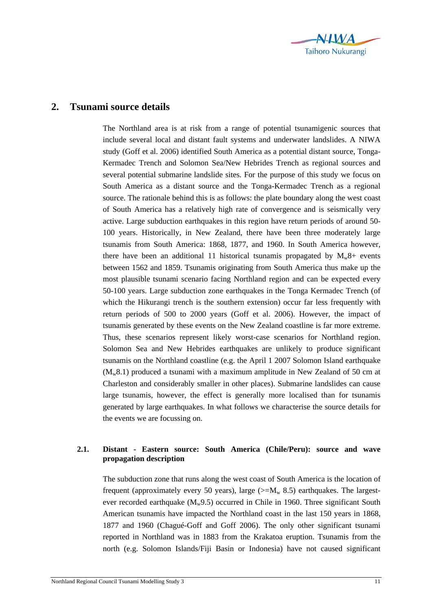

## **2. Tsunami source details**

The Northland area is at risk from a range of potential tsunamigenic sources that include several local and distant fault systems and underwater landslides. A NIWA study (Goff et al. 2006) identified South America as a potential distant source, Tonga-Kermadec Trench and Solomon Sea/New Hebrides Trench as regional sources and several potential submarine landslide sites. For the purpose of this study we focus on South America as a distant source and the Tonga-Kermadec Trench as a regional source. The rationale behind this is as follows: the plate boundary along the west coast of South America has a relatively high rate of convergence and is seismically very active. Large subduction earthquakes in this region have return periods of around 50- 100 years. Historically, in New Zealand, there have been three moderately large tsunamis from South America: 1868, 1877, and 1960. In South America however, there have been an additional 11 historical tsunamis propagated by  $M_w8+$  events between 1562 and 1859. Tsunamis originating from South America thus make up the most plausible tsunami scenario facing Northland region and can be expected every 50-100 years. Large subduction zone earthquakes in the Tonga Kermadec Trench (of which the Hikurangi trench is the southern extension) occur far less frequently with return periods of 500 to 2000 years (Goff et al. 2006). However, the impact of tsunamis generated by these events on the New Zealand coastline is far more extreme. Thus, these scenarios represent likely worst-case scenarios for Northland region. Solomon Sea and New Hebrides earthquakes are unlikely to produce significant tsunamis on the Northland coastline (e.g. the April 1 2007 Solomon Island earthquake  $(M_w 8.1)$  produced a tsunami with a maximum amplitude in New Zealand of 50 cm at Charleston and considerably smaller in other places). Submarine landslides can cause large tsunamis, however, the effect is generally more localised than for tsunamis generated by large earthquakes. In what follows we characterise the source details for the events we are focussing on.

## **2.1. Distant - Eastern source: South America (Chile/Peru): source and wave propagation description**

The subduction zone that runs along the west coast of South America is the location of frequent (approximately every 50 years), large ( $>=M_w 8.5$ ) earthquakes. The largestever recorded earthquake  $(M_w9.5)$  occurred in Chile in 1960. Three significant South American tsunamis have impacted the Northland coast in the last 150 years in 1868, 1877 and 1960 (Chagué-Goff and Goff 2006). The only other significant tsunami reported in Northland was in 1883 from the Krakatoa eruption. Tsunamis from the north (e.g. Solomon Islands/Fiji Basin or Indonesia) have not caused significant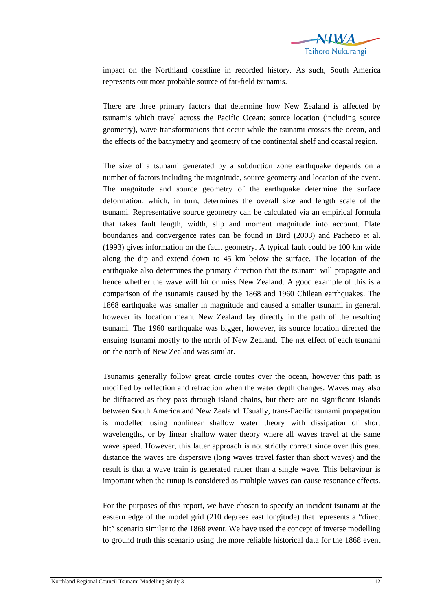

impact on the Northland coastline in recorded history. As such, South America represents our most probable source of far-field tsunamis.

There are three primary factors that determine how New Zealand is affected by tsunamis which travel across the Pacific Ocean: source location (including source geometry), wave transformations that occur while the tsunami crosses the ocean, and the effects of the bathymetry and geometry of the continental shelf and coastal region.

The size of a tsunami generated by a subduction zone earthquake depends on a number of factors including the magnitude, source geometry and location of the event. The magnitude and source geometry of the earthquake determine the surface deformation, which, in turn, determines the overall size and length scale of the tsunami. Representative source geometry can be calculated via an empirical formula that takes fault length, width, slip and moment magnitude into account. Plate boundaries and convergence rates can be found in Bird (2003) and Pacheco et al. (1993) gives information on the fault geometry. A typical fault could be 100 km wide along the dip and extend down to 45 km below the surface. The location of the earthquake also determines the primary direction that the tsunami will propagate and hence whether the wave will hit or miss New Zealand. A good example of this is a comparison of the tsunamis caused by the 1868 and 1960 Chilean earthquakes. The 1868 earthquake was smaller in magnitude and caused a smaller tsunami in general, however its location meant New Zealand lay directly in the path of the resulting tsunami. The 1960 earthquake was bigger, however, its source location directed the ensuing tsunami mostly to the north of New Zealand. The net effect of each tsunami on the north of New Zealand was similar.

Tsunamis generally follow great circle routes over the ocean, however this path is modified by reflection and refraction when the water depth changes. Waves may also be diffracted as they pass through island chains, but there are no significant islands between South America and New Zealand. Usually, trans-Pacific tsunami propagation is modelled using nonlinear shallow water theory with dissipation of short wavelengths, or by linear shallow water theory where all waves travel at the same wave speed. However, this latter approach is not strictly correct since over this great distance the waves are dispersive (long waves travel faster than short waves) and the result is that a wave train is generated rather than a single wave. This behaviour is important when the runup is considered as multiple waves can cause resonance effects.

For the purposes of this report, we have chosen to specify an incident tsunami at the eastern edge of the model grid (210 degrees east longitude) that represents a "direct hit" scenario similar to the 1868 event. We have used the concept of inverse modelling to ground truth this scenario using the more reliable historical data for the 1868 event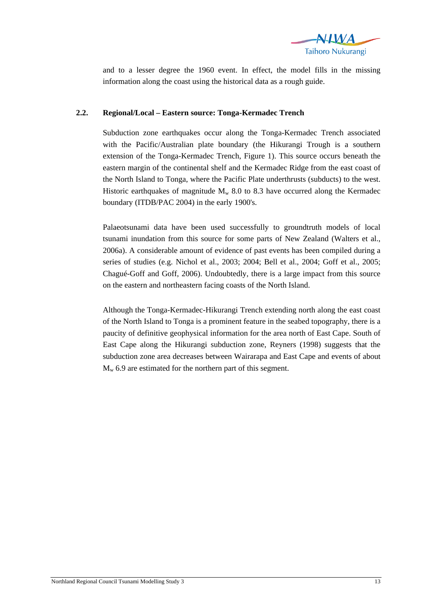

and to a lesser degree the 1960 event. In effect, the model fills in the missing information along the coast using the historical data as a rough guide.

## **2.2. Regional/Local – Eastern source: Tonga-Kermadec Trench**

Subduction zone earthquakes occur along the Tonga-Kermadec Trench associated with the Pacific/Australian plate boundary (the Hikurangi Trough is a southern extension of the Tonga-Kermadec Trench, Figure 1). This source occurs beneath the eastern margin of the continental shelf and the Kermadec Ridge from the east coast of the North Island to Tonga, where the Pacific Plate underthrusts (subducts) to the west. Historic earthquakes of magnitude  $M_w$  8.0 to 8.3 have occurred along the Kermadec boundary (ITDB/PAC 2004) in the early 1900's.

Palaeotsunami data have been used successfully to groundtruth models of local tsunami inundation from this source for some parts of New Zealand (Walters et al., 2006a). A considerable amount of evidence of past events has been compiled during a series of studies (e.g. Nichol et al., 2003; 2004; Bell et al., 2004; Goff et al., 2005; Chagué-Goff and Goff, 2006). Undoubtedly, there is a large impact from this source on the eastern and northeastern facing coasts of the North Island.

Although the Tonga-Kermadec-Hikurangi Trench extending north along the east coast of the North Island to Tonga is a prominent feature in the seabed topography, there is a paucity of definitive geophysical information for the area north of East Cape. South of East Cape along the Hikurangi subduction zone, Reyners (1998) suggests that the subduction zone area decreases between Wairarapa and East Cape and events of about  $M_{w}$  6.9 are estimated for the northern part of this segment.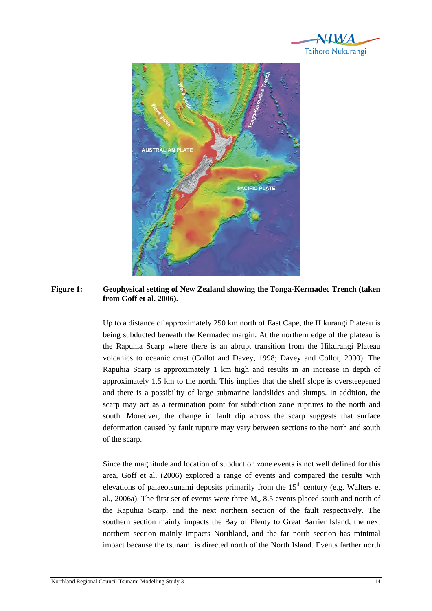



**Figure 1: Geophysical setting of New Zealand showing the Tonga-Kermadec Trench (taken from Goff et al. 2006).** 

Up to a distance of approximately 250 km north of East Cape, the Hikurangi Plateau is being subducted beneath the Kermadec margin. At the northern edge of the plateau is the Rapuhia Scarp where there is an abrupt transition from the Hikurangi Plateau volcanics to oceanic crust (Collot and Davey, 1998; Davey and Collot, 2000). The Rapuhia Scarp is approximately 1 km high and results in an increase in depth of approximately 1.5 km to the north. This implies that the shelf slope is oversteepened and there is a possibility of large submarine landslides and slumps. In addition, the scarp may act as a termination point for subduction zone ruptures to the north and south. Moreover, the change in fault dip across the scarp suggests that surface deformation caused by fault rupture may vary between sections to the north and south of the scarp.

Since the magnitude and location of subduction zone events is not well defined for this area, Goff et al. (2006) explored a range of events and compared the results with elevations of palaeotsunami deposits primarily from the  $15<sup>th</sup>$  century (e.g. Walters et al., 2006a). The first set of events were three  $M_w$  8.5 events placed south and north of the Rapuhia Scarp, and the next northern section of the fault respectively. The southern section mainly impacts the Bay of Plenty to Great Barrier Island, the next northern section mainly impacts Northland, and the far north section has minimal impact because the tsunami is directed north of the North Island. Events farther north